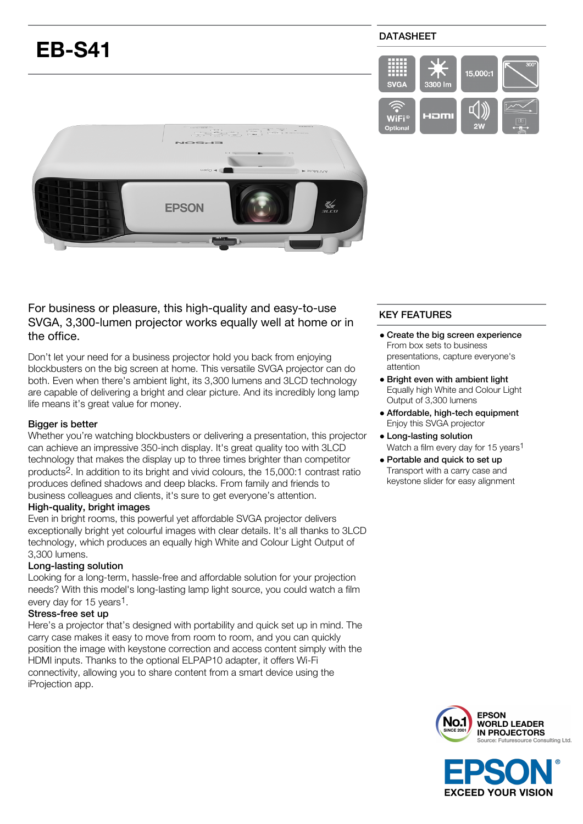# **EB-S41**

# DATASHEET





For business or pleasure, this high-quality and easy-to-use SVGA, 3,300-lumen projector works equally well at home or in the office.

Don't let your need for a business projector hold you back from enjoying blockbusters on the big screen at home. This versatile SVGA projector can do both. Even when there's ambient light, its 3,300 lumens and 3LCD technology are capable of delivering a bright and clear picture. And its incredibly long lamp life means it's great value for money.

#### Bigger is better

Whether you're watching blockbusters or delivering a presentation, this projector can achieve an impressive 350-inch display. It's great quality too with 3LCD technology that makes the display up to three times brighter than competitor products2. In addition to its bright and vivid colours, the 15,000:1 contrast ratio produces defined shadows and deep blacks. From family and friends to business colleagues and clients, it's sure to get everyone's attention.

#### High-quality, bright images

Even in bright rooms, this powerful yet affordable SVGA projector delivers exceptionally bright yet colourful images with clear details. It's all thanks to 3LCD technology, which produces an equally high White and Colour Light Output of 3,300 lumens.

#### Long-lasting solution

Looking for a long-term, hassle-free and affordable solution for your projection needs? With this model's long-lasting lamp light source, you could watch a film every day for 15 years<sup>1</sup>.

#### Stress-free set up

Here's a projector that's designed with portability and quick set up in mind. The carry case makes it easy to move from room to room, and you can quickly position the image with keystone correction and access content simply with the HDMI inputs. Thanks to the optional ELPAP10 adapter, it offers Wi-Fi connectivity, allowing you to share content from a smart device using the iProjection app.

# KEY FEATURES

- Create the big screen experience From box sets to business presentations, capture everyone's attention
- Bright even with ambient light Equally high White and Colour Light Output of 3,300 lumens
- Affordable, high-tech equipment Enjoy this SVGA projector
- Long-lasting solution Watch a film every day for 15 years<sup>1</sup>
- Portable and quick to set up Transport with a carry case and keystone slider for easy alignment



**EXCEED YOUR VISION**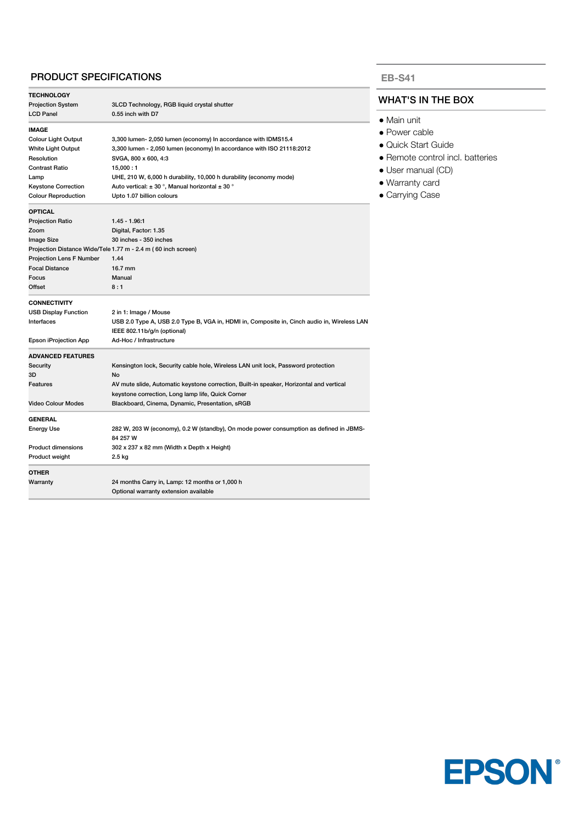#### PRODUCT SPECIFICATIONS

| <b>TECHNOLOGY</b>                                             |                                                                                             |  |
|---------------------------------------------------------------|---------------------------------------------------------------------------------------------|--|
| <b>Projection System</b>                                      | 3LCD Technology, RGB liquid crystal shutter                                                 |  |
| <b>LCD Panel</b>                                              | 0.55 inch with D7                                                                           |  |
| <b>IMAGE</b>                                                  |                                                                                             |  |
| <b>Colour Light Output</b>                                    | 3,300 lumen- 2,050 lumen (economy) In accordance with IDMS15.4                              |  |
| White Light Output                                            | 3,300 lumen - 2,050 lumen (economy) In accordance with ISO 21118:2012                       |  |
| Resolution                                                    | SVGA, 800 x 600, 4:3                                                                        |  |
| <b>Contrast Ratio</b>                                         | 15,000:1                                                                                    |  |
| Lamp                                                          | UHE, 210 W, 6,000 h durability, 10,000 h durability (economy mode)                          |  |
| <b>Keystone Correction</b>                                    | Auto vertical: $\pm$ 30 °, Manual horizontal $\pm$ 30 °                                     |  |
| <b>Colour Reproduction</b>                                    | Upto 1.07 billion colours                                                                   |  |
| <b>OPTICAL</b>                                                |                                                                                             |  |
| <b>Projection Ratio</b>                                       | 1.45 - 1.96.1                                                                               |  |
| Zoom                                                          | Digital, Factor: 1.35                                                                       |  |
| Image Size                                                    | 30 inches - 350 inches                                                                      |  |
| Projection Distance Wide/Tele 1.77 m - 2.4 m (60 inch screen) |                                                                                             |  |
| <b>Projection Lens F Number</b>                               | 1.44                                                                                        |  |
| <b>Focal Distance</b>                                         | 16.7 mm                                                                                     |  |
| Focus                                                         | Manual                                                                                      |  |
| Offset                                                        | 8:1                                                                                         |  |
| <b>CONNECTIVITY</b>                                           |                                                                                             |  |
| <b>USB Display Function</b>                                   | 2 in 1: Image / Mouse                                                                       |  |
| Interfaces                                                    | USB 2.0 Type A, USB 2.0 Type B, VGA in, HDMI in, Composite in, Cinch audio in, Wireless LAN |  |
|                                                               | IEEE 802.11b/g/n (optional)                                                                 |  |
| Epson iProjection App                                         | Ad-Hoc / Infrastructure                                                                     |  |
| <b>ADVANCED FEATURES</b>                                      |                                                                                             |  |
| Security                                                      | Kensington lock, Security cable hole, Wireless LAN unit lock, Password protection           |  |
| 3D                                                            | No                                                                                          |  |
| Features                                                      | AV mute slide, Automatic keystone correction, Built-in speaker, Horizontal and vertical     |  |
|                                                               | keystone correction, Long lamp life, Quick Corner                                           |  |
| <b>Video Colour Modes</b>                                     | Blackboard, Cinema, Dynamic, Presentation, sRGB                                             |  |
| <b>GENERAL</b>                                                |                                                                                             |  |
| <b>Energy Use</b>                                             | 282 W, 203 W (economy), 0.2 W (standby), On mode power consumption as defined in JBMS-      |  |
|                                                               | 84 257 W                                                                                    |  |
| <b>Product dimensions</b>                                     | 302 x 237 x 82 mm (Width x Depth x Height)                                                  |  |
| Product weight                                                | 2.5 kg                                                                                      |  |
| <b>OTHER</b>                                                  |                                                                                             |  |
| Warranty                                                      | 24 months Carry in, Lamp: 12 months or 1,000 h                                              |  |
|                                                               | Optional warranty extension available                                                       |  |

#### **EB-S41**

### WHAT'S IN THE BOX

- Main unit
- Power cable
- Quick Start Guide
- Remote control incl. batteries
- User manual (CD)
- Warranty card
- Carrying Case